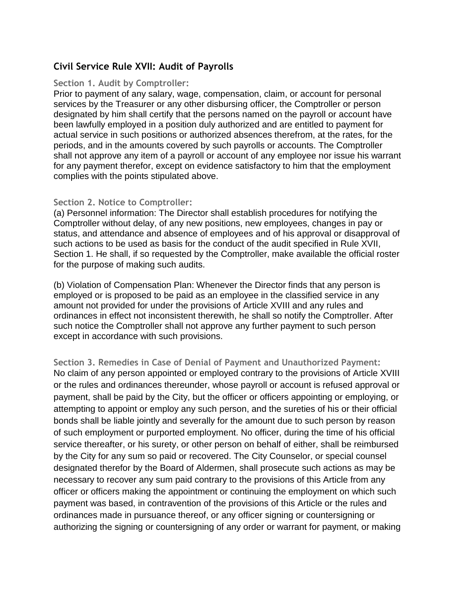## **Civil Service Rule XVII: Audit of Payrolls**

## **Section 1. Audit by Comptroller:**

Prior to payment of any salary, wage, compensation, claim, or account for personal services by the Treasurer or any other disbursing officer, the Comptroller or person designated by him shall certify that the persons named on the payroll or account have been lawfully employed in a position duly authorized and are entitled to payment for actual service in such positions or authorized absences therefrom, at the rates, for the periods, and in the amounts covered by such payrolls or accounts. The Comptroller shall not approve any item of a payroll or account of any employee nor issue his warrant for any payment therefor, except on evidence satisfactory to him that the employment complies with the points stipulated above.

## **Section 2. Notice to Comptroller:**

(a) Personnel information: The Director shall establish procedures for notifying the Comptroller without delay, of any new positions, new employees, changes in pay or status, and attendance and absence of employees and of his approval or disapproval of such actions to be used as basis for the conduct of the audit specified in Rule XVII, Section 1. He shall, if so requested by the Comptroller, make available the official roster for the purpose of making such audits.

(b) Violation of Compensation Plan: Whenever the Director finds that any person is employed or is proposed to be paid as an employee in the classified service in any amount not provided for under the provisions of Article XVIII and any rules and ordinances in effect not inconsistent therewith, he shall so notify the Comptroller. After such notice the Comptroller shall not approve any further payment to such person except in accordance with such provisions.

**Section 3. Remedies in Case of Denial of Payment and Unauthorized Payment:** No claim of any person appointed or employed contrary to the provisions of Article XVIII or the rules and ordinances thereunder, whose payroll or account is refused approval or payment, shall be paid by the City, but the officer or officers appointing or employing, or attempting to appoint or employ any such person, and the sureties of his or their official bonds shall be liable jointly and severally for the amount due to such person by reason of such employment or purported employment. No officer, during the time of his official service thereafter, or his surety, or other person on behalf of either, shall be reimbursed by the City for any sum so paid or recovered. The City Counselor, or special counsel designated therefor by the Board of Aldermen, shall prosecute such actions as may be necessary to recover any sum paid contrary to the provisions of this Article from any officer or officers making the appointment or continuing the employment on which such payment was based, in contravention of the provisions of this Article or the rules and ordinances made in pursuance thereof, or any officer signing or countersigning or authorizing the signing or countersigning of any order or warrant for payment, or making